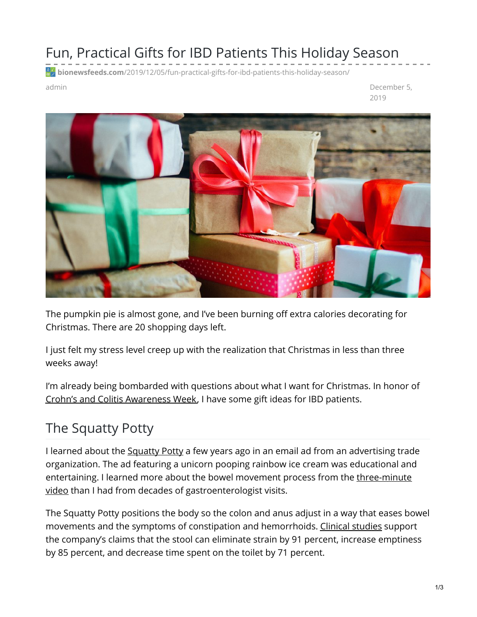### Fun, Practical Gifts for IBD Patients This Holiday Season

**bionewsfeeds.com**[/2019/12/05/fun-practical-gifts-for-ibd-patients-this-holiday-season/](https://bionewsfeeds.com/2019/12/05/fun-practical-gifts-for-ibd-patients-this-holiday-season/)

admin December 5, 2019



The pumpkin pie is almost gone, and I've been burning off extra calories decorating for Christmas. There are 20 shopping days left.

I just felt my stress level creep up with the realization that Christmas in less than three weeks away!

I'm already being bombarded with questions about what I want for Christmas. In honor of Crohn's and Colitis [Awareness](https://www.crohnscolitisfoundation.org/awarenessweek) Week, I have some gift ideas for IBD patients.

# The Squatty Potty

I learned about the [Squatty](https://www.squattypotty.com/) Potty a few years ago in an email ad from an advertising trade organization. The ad featuring a unicorn pooping rainbow ice cream was educational and entertaining. I learned more about the bowel movement process from the three-minute video than I had from decades of [gastroenterologist](https://youtu.be/YbYWhdLO43Q) visits.

The Squatty Potty positions the body so the colon and anus adjust in a way that eases bowel movements and the symptoms of constipation and hemorrhoids. Clinical [studies](https://www.squattypotty.com/pages/medical-studies) support the company's claims that the stool can eliminate strain by 91 percent, increase emptiness by 85 percent, and decrease time spent on the toilet by 71 percent.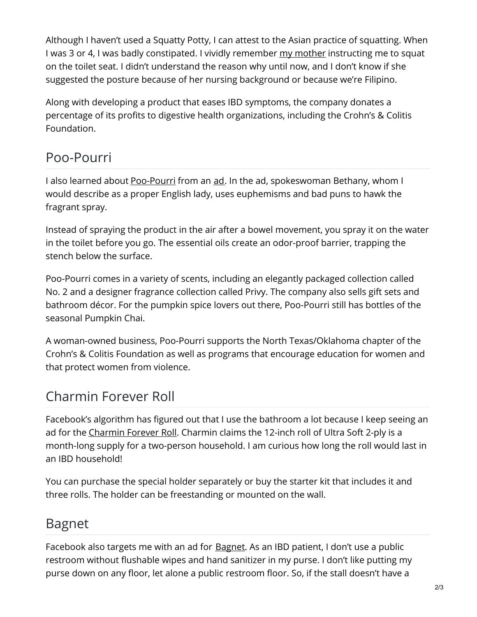Although I haven't used a Squatty Potty, I can attest to the Asian practice of squatting. When I was 3 or 4, I was badly constipated. I vividly remember my [mother](https://ibdnewstoday.com/2019/05/16/mother-nurse-tiger-mom-support/) instructing me to squat on the toilet seat. I didn't understand the reason why until now, and I don't know if she suggested the posture because of her nursing background or because we're Filipino.

Along with developing a product that eases IBD symptoms, the company donates a percentage of its profits to digestive health organizations, including the Crohn's & Colitis Foundation.

## Poo-Pourri

I also learned about [Poo-Pourri](https://www.poopourri.com/) from an [ad](https://youtu.be/ZKLnhuzh9uY). In the ad, spokeswoman Bethany, whom I would describe as a proper English lady, uses euphemisms and bad puns to hawk the fragrant spray.

Instead of spraying the product in the air after a bowel movement, you spray it on the water in the toilet before you go. The essential oils create an odor-proof barrier, trapping the stench below the surface.

Poo-Pourri comes in a variety of scents, including an elegantly packaged collection called No. 2 and a designer fragrance collection called Privy. The company also sells gift sets and bathroom décor. For the pumpkin spice lovers out there, Poo-Pourri still has bottles of the seasonal Pumpkin Chai.

A woman-owned business, Poo-Pourri supports the North Texas/Oklahoma chapter of the Crohn's & Colitis Foundation as well as programs that encourage education for women and that protect women from violence.

## Charmin Forever Roll

Facebook's algorithm has figured out that I use the bathroom a lot because I keep seeing an ad for the [Charmin](https://shop.charmin.com/?fbclid=IwAR1ag8xC1lD8NFA7wfX4FI-Do05GnJ1CTjanJP4dNfI7dR-o8VoAzfpuJeI) Forever Roll. Charmin claims the 12-inch roll of Ultra Soft 2-ply is a month-long supply for a two-person household. I am curious how long the roll would last in an IBD household!

You can purchase the special holder separately or buy the starter kit that includes it and three rolls. The holder can be freestanding or mounted on the wall.

#### Bagnet

Facebook also targets me with an ad for **[Bagnet](https://www.facebook.com/watch/?v=890253168021293)**. As an IBD patient, I don't use a public restroom without flushable wipes and hand sanitizer in my purse. I don't like putting my purse down on any floor, let alone a public restroom floor. So, if the stall doesn't have a